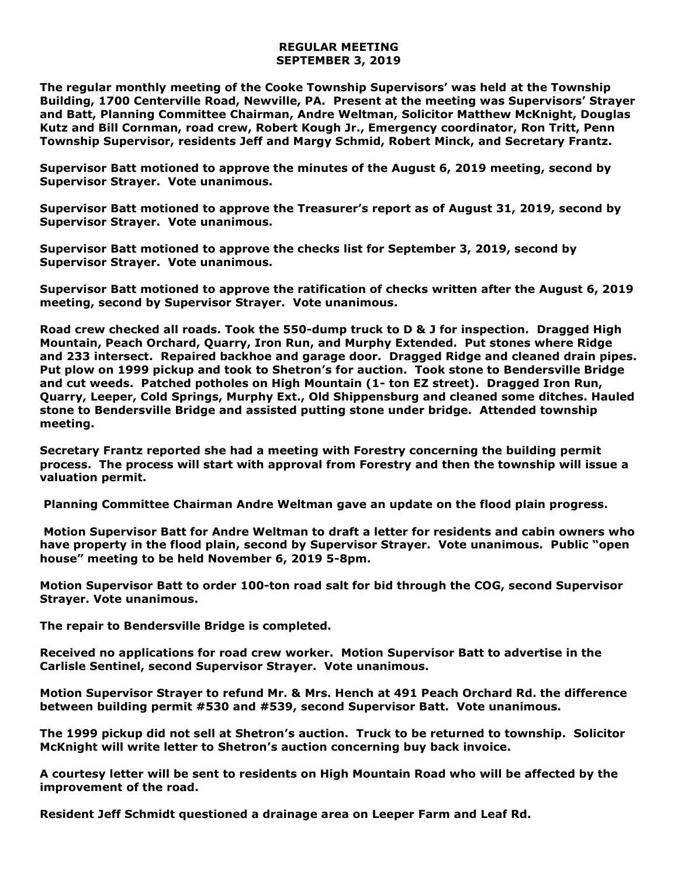## **REGULAR MEETING SEPTEMBER 3, 2019**

**The regular monthly meeting of the Cooke Township Supervisors' was held at the Township Building, 1700 Centerville Road, Newville, PA. Present at the meeting was Supervisors' Strayer and Batt, Planning Committee Chairman, Andre Weltman, Solicitor Matthew McKnight, Douglas Kutz and Bill Cornman, road crew, Robert Kough Jr., Emergency coordinator, Ron Tritt, Penn Township Supervisor, residents Jeff and Margy Schmid, Robert Minck, and Secretary Frantz.** 

**Supervisor Batt motioned to approve the minutes of the August 6, 2019 meeting, second by Supervisor Strayer. Vote unanimous.** 

**Supervisor Batt motioned to approve the Treasurer's report as of August 31, 2019, second by Supervisor Strayer. Vote unanimous.**

**Supervisor Batt motioned to approve the checks list for September 3, 2019, second by Supervisor Strayer. Vote unanimous.**

**Supervisor Batt motioned to approve the ratification of checks written after the August 6, 2019 meeting, second by Supervisor Strayer. Vote unanimous.**

**Road crew checked all roads. Took the 550-dump truck to D & J for inspection. Dragged High Mountain, Peach Orchard, Quarry, Iron Run, and Murphy Extended. Put stones where Ridge and 233 intersect. Repaired backhoe and garage door. Dragged Ridge and cleaned drain pipes. Put plow on 1999 pickup and took to Shetron's for auction. Took stone to Bendersville Bridge and cut weeds. Patched potholes on High Mountain (1- ton EZ street). Dragged Iron Run, Quarry, Leeper, Cold Springs, Murphy Ext., Old Shippensburg and cleaned some ditches. Hauled stone to Bendersville Bridge and assisted putting stone under bridge. Attended township meeting.**

**Secretary Frantz reported she had a meeting with Forestry concerning the building permit process. The process will start with approval from Forestry and then the township will issue a valuation permit.** 

**Planning Committee Chairman Andre Weltman gave an update on the flood plain progress.** 

**Motion Supervisor Batt for Andre Weltman to draft a letter for residents and cabin owners who have property in the flood plain, second by Supervisor Strayer. Vote unanimous. Public "open house" meeting to be held November 6, 2019 5-8pm.**

**Motion Supervisor Batt to order 100-ton road salt for bid through the COG, second Supervisor Strayer. Vote unanimous.**

**The repair to Bendersville Bridge is completed.**

**Received no applications for road crew worker. Motion Supervisor Batt to advertise in the Carlisle Sentinel, second Supervisor Strayer. Vote unanimous.** 

**Motion Supervisor Strayer to refund Mr. & Mrs. Hench at 491 Peach Orchard Rd. the difference between building permit #530 and #539, second Supervisor Batt. Vote unanimous.** 

**The 1999 pickup did not sell at Shetron's auction. Truck to be returned to township. Solicitor McKnight will write letter to Shetron's auction concerning buy back invoice.**

**A courtesy letter will be sent to residents on High Mountain Road who will be affected by the improvement of the road.**

**Resident Jeff Schmidt questioned a drainage area on Leeper Farm and Leaf Rd.**